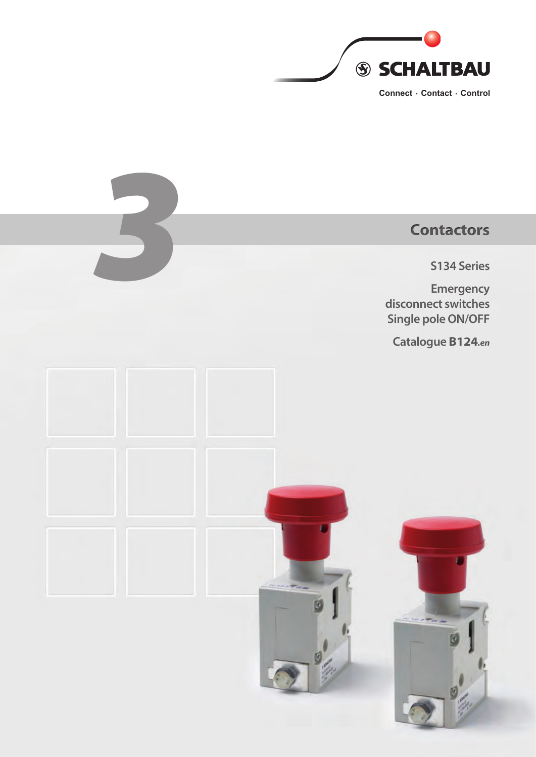

# External Contactors<br>
S134 Series<br>
Emergency<br>
disconnect switches **S134 Series Emergency disconnect switches Single pole ON/OFF Catalogue B124***.en*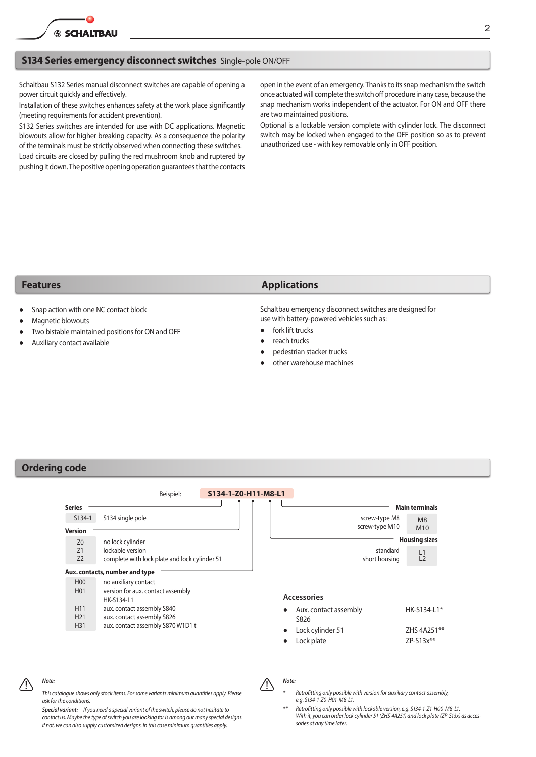<span id="page-1-0"></span>

### **S134 Series emergency disconnect switches** Single-pole ON/OFF

Schaltbau S132 Series manual disconnect switches are capable of opening a power circuit quickly and effectively.

Installation of these switches enhances safety at the work place significantly (meeting requirements for accident prevention).

S132 Series switches are intended for use with DC applications. Magnetic blowouts allow for higher breaking capacity. As a consequence the polarity of the terminals must be strictly observed when connecting these switches. Load circuits are closed by pulling the red mushroom knob and ruptered by pushing it down. The positive opening operation quarantees that the contacts

open in the event of an emergency. Thanks to its snap mechanism the switch once actuated will complete the switch off procedure in any case, because the snap mechanism works independent of the actuator. For ON and OFF there are two maintained positions.

Optional is a lockable version complete with cylinder lock. The disconnect switch may be locked when engaged to the OFF position so as to prevent unauthorized use - with key removable only in OFF position.

- Snap action with one NC contact block
- Magnetic blowouts
- Two bistable maintained positions for ON and OFF
- Auxiliary contact available

### **Features Applications**

Schaltbau emergency disconnect switches are designed for use with battery-powered vehicles such as:

- fork lift trucks
- reach trucks
- pedestrian stacker trucks
- other warehouse machines

### **Ordering code**

|                      | Beispiel:                                                         |  | S134-1-Z0-H11-M8-L1 |                                 |                       |
|----------------------|-------------------------------------------------------------------|--|---------------------|---------------------------------|-----------------------|
| <b>Series</b>        |                                                                   |  |                     |                                 | <b>Main terminals</b> |
| $S134-1$             | S134 single pole                                                  |  |                     | screw-type M8<br>screw-type M10 | M8                    |
| <b>Version</b>       |                                                                   |  |                     |                                 | M <sub>10</sub>       |
| Z <sub>0</sub>       | no lock cylinder                                                  |  |                     |                                 | <b>Housing sizes</b>  |
| Z1<br>Z <sub>2</sub> | lockable version<br>complete with lock plate and lock cylinder 51 |  |                     | standard<br>short housing       | L1<br>L2              |
|                      | Aux. contacts, number and type                                    |  |                     |                                 |                       |
| H <sub>00</sub>      | no auxiliary contact                                              |  |                     |                                 |                       |
| H <sub>0</sub> 1     | version for aux. contact assembly<br>HK-S134-L1                   |  |                     | <b>Accessories</b>              |                       |
| H <sub>11</sub>      | aux. contact assembly S840                                        |  |                     | Aux. contact assembly           | $HK-S134-L1*$         |
| H <sub>21</sub>      | aux. contact assembly S826                                        |  |                     | S826                            |                       |
| H31                  | aux. contact assembly S870 W1D1 t                                 |  |                     | Lock cylinder 51                | ZHS 4A251**           |
|                      |                                                                   |  |                     | Lock plate                      | $ZP-S13x**$           |

### *Note:*

*This catalogue shows only stock items. Forsome variants minimum quantities apply. Please ask for the conditions.*

*Special variant: If you need a special variant of the switch, please do not hesitate to contact us. Maybe the type ofswitch you are looking for is among our many special designs. If not, we can also supply customized designs. In this case minimum quantities apply..*

*Note:*  $\bigwedge$ 

*\* Retrofitting only possible with version for auxiliary contact assembly, e.g. S134-1-Z0-H01-M8-L1.*

*\*\* Retrofitting only possible with lockable version, e.g. S134-1-Z1-H00-M8-L1. With it, you can order lock cylinder 51 (ZHS 4A251) and lock plate (ZP-S13x) as accessories at any time later.*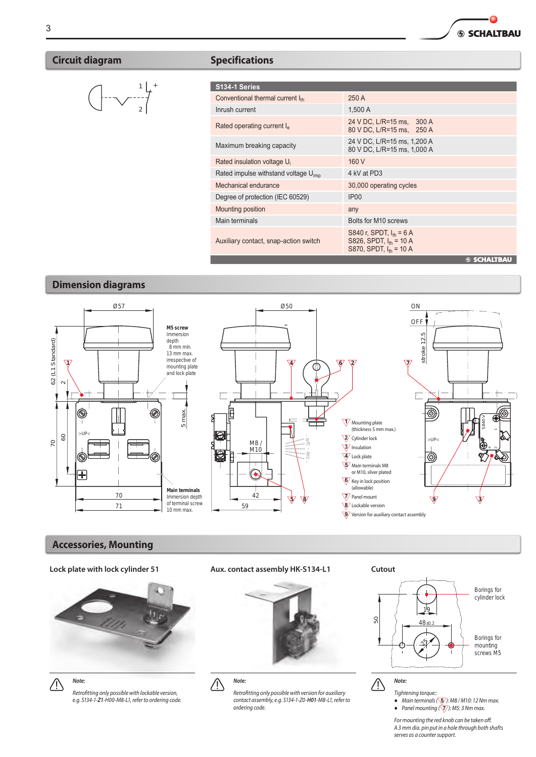## <span id="page-2-0"></span>**Circuit diagram Specifications**



| S134-1 Series                                    |                                                                                            |  |  |  |
|--------------------------------------------------|--------------------------------------------------------------------------------------------|--|--|--|
| Conventional thermal current Ith                 | 250 A                                                                                      |  |  |  |
| Inrush current                                   | 1.500 A                                                                                    |  |  |  |
| Rated operating current I <sub>e</sub>           | 24 V DC, L/R=15 ms, 300 A<br>80 V DC, L/R=15 ms, 250 A                                     |  |  |  |
| Maximum breaking capacity                        | 24 V DC, L/R=15 ms, 1,200 A<br>80 V DC, L/R=15 ms, 1,000 A                                 |  |  |  |
| Rated insulation voltage U <sub>i</sub>          | 160 V                                                                                      |  |  |  |
| Rated impulse withstand voltage U <sub>imp</sub> | 4 kV at PD3                                                                                |  |  |  |
| Mechanical endurance                             | 30,000 operating cycles                                                                    |  |  |  |
| Degree of protection (IEC 60529)                 | IP <sub>00</sub>                                                                           |  |  |  |
| Mounting position                                | any                                                                                        |  |  |  |
| Main terminals                                   | Bolts for M10 screws                                                                       |  |  |  |
| Auxiliary contact, snap-action switch            | S840 r, SPDT, $I_{th} = 6$ A<br>S826, SPDT, $I_{th} = 10 A$<br>S870, SPDT, $I_{th} = 10 A$ |  |  |  |
|                                                  | <b>SSCHALTBAU</b>                                                                          |  |  |  |

◠ **SSCHALTBAU** 

## **Dimension diagrams**



### **Accessories, Mounting**



*Note:*  $\bigwedge$ 

*Retrofitting only possible with lockable version, e.g. S134-1-Z1-H00-M8-L1, refer to ordering code.*

**Lock plate with lock cylinder 51 Aux. contact assembly HK-S134-L1 Cutout**





*Note:*

*Retrofitting only possible with version for auxiliary contact assembly, e.g. S134-1-Z0-H01-M8-L1, refer to ordering code.*



*Tightening torque::* ● *Main terminals(* **5** *): M8 / M10: 12 Nm max.*

● *Panel mounting (* **7** *): M5: 3 Nm max.*

*For mounting the red knob can be taken off. A 3 mm dia. pin put in a hole through both shafts serves as a countersupport.*